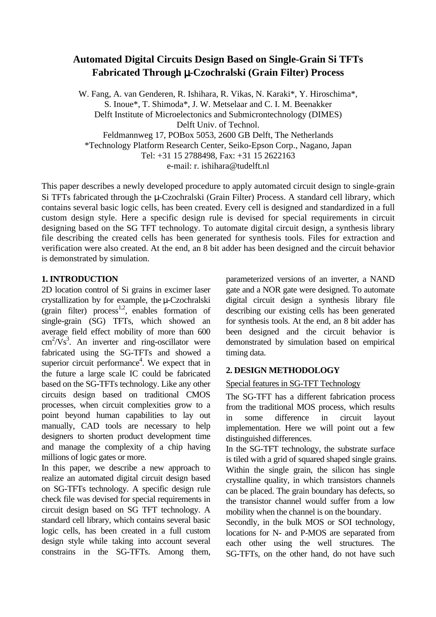# **Automated Digital Circuits Design Based on Single-Grain Si TFTs Fabricated Through** µ**-Czochralski (Grain Filter) Process**

W. Fang, A. van Genderen, R. Ishihara, R. Vikas, N. Karaki\*, Y. Hiroschima\*, S. Inoue\*, T. Shimoda\*, J. W. Metselaar and C. I. M. Beenakker Delft Institute of Microelectonics and Submicrontechnology (DIMES) Delft Univ. of Technol. Feldmannweg 17, POBox 5053, 2600 GB Delft, The Netherlands \*Technology Platform Research Center, Seiko-Epson Corp., Nagano, Japan Tel: +31 15 2788498, Fax: +31 15 2622163 e-mail: r. ishihara@tudelft.nl

This paper describes a newly developed procedure to apply automated circuit design to single-grain Si TFTs fabricated through the u-Czochralski (Grain Filter) Process. A standard cell library, which contains several basic logic cells, has been created. Every cell is designed and standardized in a full custom design style. Here a specific design rule is devised for special requirements in circuit designing based on the SG TFT technology. To automate digital circuit design, a synthesis library file describing the created cells has been generated for synthesis tools. Files for extraction and verification were also created. At the end, an 8 bit adder has been designed and the circuit behavior is demonstrated by simulation.

### **1. INTRODUCTION**

2D location control of Si grains in excimer laser crystallization by for example, the µ-Czochralski (grain filter) process<sup>1,2</sup>, enables formation of single-grain (SG) TFTs, which showed an average field effect mobility of more than 600  $\text{cm}^2/\text{Vs}^3$ . An inverter and ring-oscillator were fabricated using the SG-TFTs and showed a superior circuit performance<sup>4</sup>. We expect that in the future a large scale IC could be fabricated based on the SG-TFTs technology. Like any other circuits design based on traditional CMOS processes, when circuit complexities grow to a point beyond human capabilities to lay out manually, CAD tools are necessary to help designers to shorten product development time and manage the complexity of a chip having millions of logic gates or more.

In this paper, we describe a new approach to realize an automated digital circuit design based on SG-TFTs technology. A specific design rule check file was devised for special requirements in circuit design based on SG TFT technology. A standard cell library, which contains several basic logic cells, has been created in a full custom design style while taking into account several constrains in the SG-TFTs. Among them,

parameterized versions of an inverter, a NAND gate and a NOR gate were designed. To automate digital circuit design a synthesis library file describing our existing cells has been generated for synthesis tools. At the end, an 8 bit adder has been designed and the circuit behavior is demonstrated by simulation based on empirical timing data.

## **2. DESIGN METHODOLOGY**

### Special features in SG-TFT Technology

The SG-TFT has a different fabrication process from the traditional MOS process, which results in some difference in circuit layout implementation. Here we will point out a few distinguished differences.

In the SG-TFT technology, the substrate surface is tiled with a grid of squared shaped single grains. Within the single grain, the silicon has single crystalline quality, in which transistors channels can be placed. The grain boundary has defects, so the transistor channel would suffer from a low mobility when the channel is on the boundary.

Secondly, in the bulk MOS or SOI technology, locations for N- and P-MOS are separated from each other using the well structures. The SG-TFTs, on the other hand, do not have such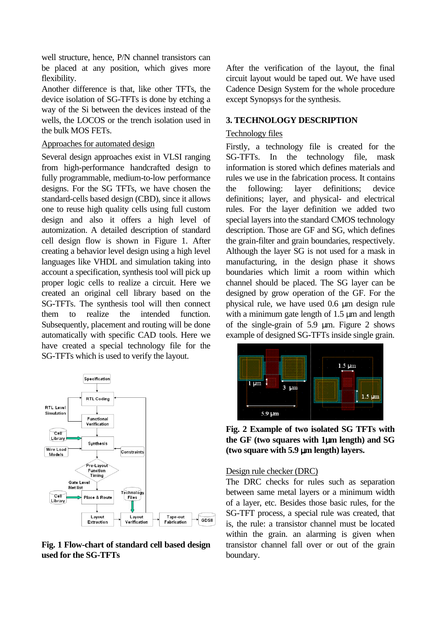well structure, hence, P/N channel transistors can be placed at any position, which gives more flexibility.

Another difference is that, like other TFTs, the device isolation of SG-TFTs is done by etching a way of the Si between the devices instead of the wells, the LOCOS or the trench isolation used in the bulk MOS FETs.

#### Approaches for automated design

Several design approaches exist in VLSI ranging from high-performance handcrafted design to fully programmable, medium-to-low performance designs. For the SG TFTs, we have chosen the standard-cells based design (CBD), since it allows one to reuse high quality cells using full custom design and also it offers a high level of automization. A detailed description of standard cell design flow is shown in Figure 1. After creating a behavior level design using a high level languages like VHDL and simulation taking into account a specification, synthesis tool will pick up proper logic cells to realize a circuit. Here we created an original cell library based on the SG-TFTs. The synthesis tool will then connect them to realize the intended function. Subsequently, placement and routing will be done automatically with specific CAD tools. Here we have created a special technology file for the SG-TFTs which is used to verify the layout.



**Fig. 1 Flow-chart of standard cell based design used for the SG-TFTs** 

After the verification of the layout, the final circuit layout would be taped out. We have used Cadence Design System for the whole procedure except Synopsys for the synthesis.

#### **3. TECHNOLOGY DESCRIPTION**

#### Technology files

Firstly, a technology file is created for the SG-TFTs. In the technology file, mask information is stored which defines materials and rules we use in the fabrication process. It contains the following: layer definitions; device definitions; layer, and physical- and electrical rules. For the layer definition we added two special layers into the standard CMOS technology description. Those are GF and SG, which defines the grain-filter and grain boundaries, respectively. Although the layer SG is not used for a mask in manufacturing, in the design phase it shows boundaries which limit a room within which channel should be placed. The SG layer can be designed by grow operation of the GF. For the physical rule, we have used 0.6 µm design rule with a minimum gate length of 1.5  $\mu$ m and length of the single-grain of  $5.9 \mu m$ . Figure 2 shows example of designed SG-TFTs inside single grain.



**Fig. 2 Example of two isolated SG TFTs with the GF (two squares with 1**µ**m length) and SG (two square with 5.9** µ**m length) layers.** 

#### Design rule checker (DRC)

The DRC checks for rules such as separation between same metal layers or a minimum width of a layer, etc. Besides those basic rules, for the SG-TFT process, a special rule was created, that is, the rule: a transistor channel must be located within the grain, an alarming is given when transistor channel fall over or out of the grain boundary.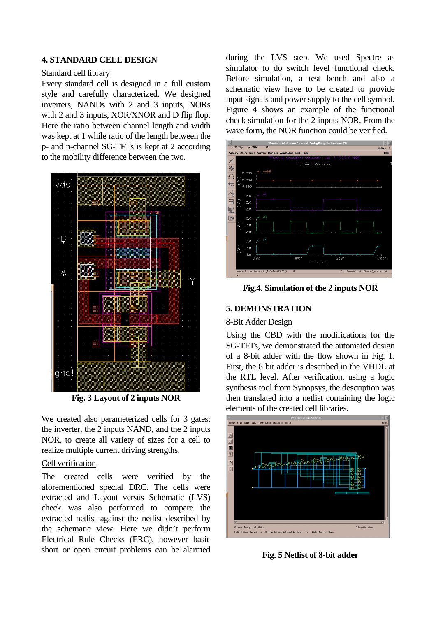### **4. STANDARD CELL DESIGN**

#### Standard cell library

Every standard cell is designed in a full custom style and carefully characterized. We designed inverters, NANDs with 2 and 3 inputs, NORs with 2 and 3 inputs, XOR/XNOR and D flip flop. Here the ratio between channel length and width was kept at 1 while ratio of the length between the p- and n-channel SG-TFTs is kept at 2 according to the mobility difference between the two.



**Fig. 3 Layout of 2 inputs NOR** 

We created also parameterized cells for 3 gates: the inverter, the 2 inputs NAND, and the 2 inputs NOR, to create all variety of sizes for a cell to realize multiple current driving strengths.

### Cell verification

The created cells were verified by the aforementioned special DRC. The cells were extracted and Layout versus Schematic (LVS) check was also performed to compare the extracted netlist against the netlist described by the schematic view. Here we didn't perform Electrical Rule Checks (ERC), however basic short or open circuit problems can be alarmed

during the LVS step. We used Spectre as simulator to do switch level functional check. Before simulation, a test bench and also a schematic view have to be created to provide input signals and power supply to the cell symbol. Figure 4 shows an example of the functional check simulation for the 2 inputs NOR. From the wave form, the NOR function could be verified.



**Fig.4. Simulation of the 2 inputs NOR** 

### **5. DEMONSTRATION**

#### 8-Bit Adder Design

Using the CBD with the modifications for the SG-TFTs, we demonstrated the automated design of a 8-bit adder with the flow shown in Fig. 1. First, the 8 bit adder is described in the VHDL at the RTL level. After verification, using a logic synthesis tool from Synopsys, the description was then translated into a netlist containing the logic elements of the created cell libraries.



**Fig. 5 Netlist of 8-bit adder**